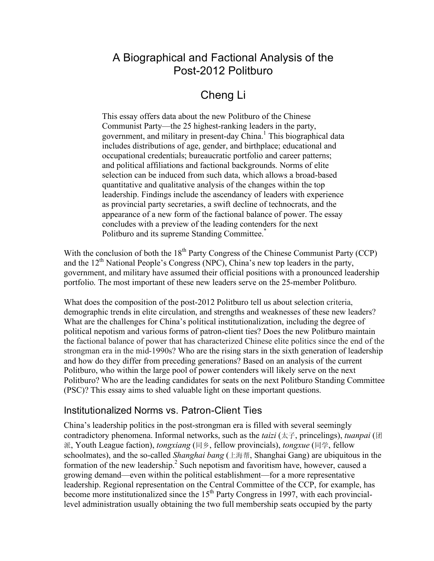# A Biographical and Factional Analysis of the Post-2012 Politburo

# Cheng Li

This essay offers data about the new Politburo of the Chinese Communist Party—the 25 highest-ranking leaders in the party, government, and military in present-day China.<sup>1</sup> This biographical data includes distributions of age, gender, and birthplace; educational and occupational credentials; bureaucratic portfolio and career patterns; and political affiliations and factional backgrounds. Norms of elite selection can be induced from such data, which allows a broad-based quantitative and qualitative analysis of the changes within the top leadership. Findings include the ascendancy of leaders with experience as provincial party secretaries, a swift decline of technocrats, and the appearance of a new form of the factional balance of power. The essay concludes with a preview of the leading contenders for the next Politburo and its supreme Standing Committee.<sup>\*</sup>

With the conclusion of both the  $18<sup>th</sup>$  Party Congress of the Chinese Communist Party (CCP) and the  $12<sup>th</sup>$  National People's Congress (NPC), China's new top leaders in the party, government, and military have assumed their official positions with a pronounced leadership portfolio. The most important of these new leaders serve on the 25-member Politburo.

What does the composition of the post-2012 Politburo tell us about selection criteria, demographic trends in elite circulation, and strengths and weaknesses of these new leaders? What are the challenges for China's political institutionalization, including the degree of political nepotism and various forms of patron-client ties? Does the new Politburo maintain the factional balance of power that has characterized Chinese elite politics since the end of the strongman era in the mid-1990s? Who are the rising stars in the sixth generation of leadership and how do they differ from preceding generations? Based on an analysis of the current Politburo, who within the large pool of power contenders will likely serve on the next Politburo? Who are the leading candidates for seats on the next Politburo Standing Committee (PSC)? This essay aims to shed valuable light on these important questions.

## Institutionalized Norms vs. Patron-Client Ties

China's leadership politics in the post-strongman era is filled with several seemingly contradictory phenomena. Informal networks, such as the *taizi* (太子, princelings), *tuanpai* (团 派, Youth League faction), *tongxiang* (同乡, fellow provincials), *tongxue* (同学, fellow schoolmates), and the so-called *Shanghai bang* (上海帮, Shanghai Gang) are ubiquitous in the formation of the new leadership.<sup>2</sup> Such nepotism and favoritism have, however, caused a growing demand—even within the political establishment—for a more representative leadership. Regional representation on the Central Committee of the CCP, for example, has become more institutionalized since the  $15<sup>th</sup>$  Party Congress in 1997, with each provinciallevel administration usually obtaining the two full membership seats occupied by the party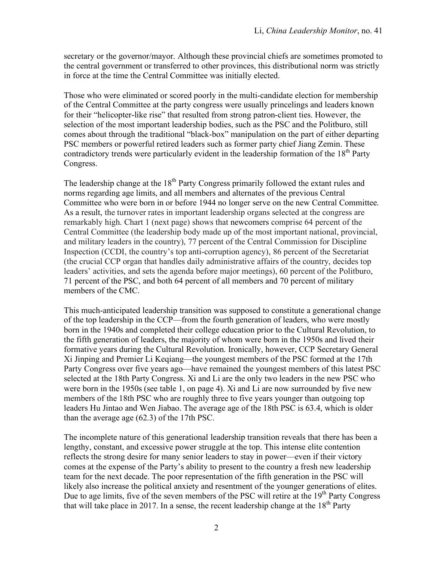secretary or the governor/mayor. Although these provincial chiefs are sometimes promoted to the central government or transferred to other provinces, this distributional norm was strictly in force at the time the Central Committee was initially elected.

Those who were eliminated or scored poorly in the multi-candidate election for membership of the Central Committee at the party congress were usually princelings and leaders known for their "helicopter-like rise" that resulted from strong patron-client ties. However, the selection of the most important leadership bodies, such as the PSC and the Politburo, still comes about through the traditional "black-box" manipulation on the part of either departing PSC members or powerful retired leaders such as former party chief Jiang Zemin. These contradictory trends were particularly evident in the leadership formation of the  $18<sup>th</sup>$  Party Congress.

The leadership change at the  $18<sup>th</sup>$  Party Congress primarily followed the extant rules and norms regarding age limits, and all members and alternates of the previous Central Committee who were born in or before 1944 no longer serve on the new Central Committee. As a result, the turnover rates in important leadership organs selected at the congress are remarkably high. Chart 1 (next page) shows that newcomers comprise 64 percent of the Central Committee (the leadership body made up of the most important national, provincial, and military leaders in the country), 77 percent of the Central Commission for Discipline Inspection (CCDI, the country's top anti-corruption agency), 86 percent of the Secretariat (the crucial CCP organ that handles daily administrative affairs of the country, decides top leaders' activities, and sets the agenda before major meetings), 60 percent of the Politburo, 71 percent of the PSC, and both 64 percent of all members and 70 percent of military members of the CMC.

This much-anticipated leadership transition was supposed to constitute a generational change of the top leadership in the CCP––from the fourth generation of leaders, who were mostly born in the 1940s and completed their college education prior to the Cultural Revolution, to the fifth generation of leaders, the majority of whom were born in the 1950s and lived their formative years during the Cultural Revolution. Ironically, however, CCP Secretary General Xi Jinping and Premier Li Keqiang—the youngest members of the PSC formed at the 17th Party Congress over five years ago—have remained the youngest members of this latest PSC selected at the 18th Party Congress. Xi and Li are the only two leaders in the new PSC who were born in the 1950s (see table 1, on page 4). Xi and Li are now surrounded by five new members of the 18th PSC who are roughly three to five years younger than outgoing top leaders Hu Jintao and Wen Jiabao. The average age of the 18th PSC is 63.4, which is older than the average age (62.3) of the 17th PSC.

The incomplete nature of this generational leadership transition reveals that there has been a lengthy, constant, and excessive power struggle at the top. This intense elite contention reflects the strong desire for many senior leaders to stay in power—even if their victory comes at the expense of the Party's ability to present to the country a fresh new leadership team for the next decade. The poor representation of the fifth generation in the PSC will likely also increase the political anxiety and resentment of the younger generations of elites. Due to age limits, five of the seven members of the PSC will retire at the 19<sup>th</sup> Party Congress that will take place in 2017. In a sense, the recent leadership change at the  $18<sup>th</sup>$  Party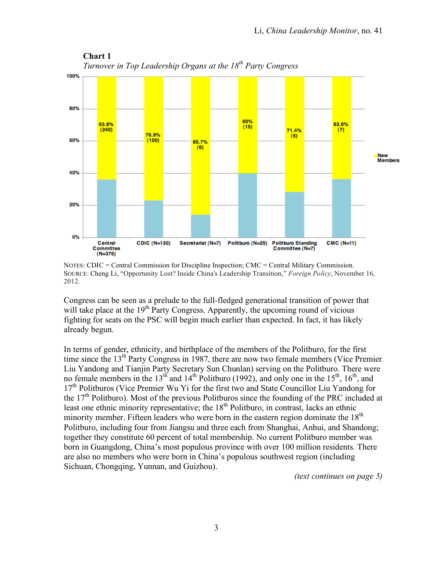

**Chart 1** *Turnover in Top Leadership Organs at the 18<sup>th</sup> Party Congress* 

Congress can be seen as a prelude to the full-fledged generational transition of power that will take place at the  $19<sup>th</sup>$  Party Congress. Apparently, the upcoming round of vicious fighting for seats on the PSC will begin much earlier than expected. In fact, it has likely already begun.

In terms of gender, ethnicity, and birthplace of the members of the Politburo, for the first time since the  $13<sup>th</sup>$  Party Congress in 1987, there are now two female members (Vice Premier Liu Yandong and Tianjin Party Secretary Sun Chunlan) serving on the Politburo. There were no female members in the 13<sup>th</sup> and 14<sup>th</sup> Politburo (1992), and only one in the 15<sup>th</sup>, 16<sup>th</sup>, and 17<sup>th</sup> Politburos (Vice Premier Wu Yi for the first two and State Councillor Liu Yandong for the  $17<sup>th</sup>$  Politburo). Most of the previous Politburos since the founding of the PRC included at least one ethnic minority representative; the  $18<sup>th</sup>$  Politburo, in contrast, lacks an ethnic minority member. Fifteen leaders who were born in the eastern region dominate the  $18<sup>th</sup>$ Politburo, including four from Jiangsu and three each from Shanghai, Anhui, and Shandong; together they constitute 60 percent of total membership. No current Politburo member was born in Guangdong, China's most populous province with over 100 million residents. There are also no members who were born in China's populous southwest region (including Sichuan, Chongqing, Yunnan, and Guizhou).

*(text continues on page 5)*

NOTES: CDIC = Central Commission for Discipline Inspection; CMC = Central Military Commission. SOURCE: Cheng Li, "Opportunity Lost? Inside China's Leadership Transition," *Foreign Policy*, November 16, 2012.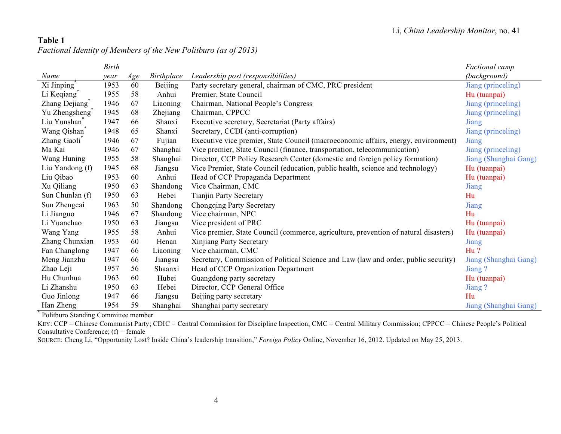## **Table 1** *Factional Identity of Members of the New Politburo (as of 2013)*

|                          | <b>Birth</b> |     |            |                                                                                      | Factional camp        |
|--------------------------|--------------|-----|------------|--------------------------------------------------------------------------------------|-----------------------|
| Name                     | year         | Age | Birthplace | Leadership post (responsibilities)                                                   | (background)          |
| Xi Jinping <sup>®</sup>  | 1953         | 60  | Beijing    | Party secretary general, chairman of CMC, PRC president                              | Jiang (princeling)    |
| Li Keqiang <sup>®</sup>  | 1955         | 58  | Anhui      | Premier, State Council                                                               | Hu (tuanpai)          |
| Zhang Dejiang            | 1946         | 67  | Liaoning   | Chairman, National People's Congress                                                 | Jiang (princeling)    |
| Yu Zhengsheng            | 1945         | 68  | Zhejiang   | Chairman, CPPCC                                                                      | Jiang (princeling)    |
| Liu Yunshan <sup>*</sup> | 1947         | 66  | Shanxi     | Executive secretary, Secretariat (Party affairs)                                     | Jiang                 |
| Wang Qishan <sup>*</sup> | 1948         | 65  | Shanxi     | Secretary, CCDI (anti-corruption)                                                    | Jiang (princeling)    |
| Zhang Gaoli <sup>®</sup> | 1946         | 67  | Fujian     | Executive vice premier, State Council (macroeconomic affairs, energy, environment)   | Jiang                 |
| Ma Kai                   | 1946         | 67  | Shanghai   | Vice premier, State Council (finance, transportation, telecommunication)             | Jiang (princeling)    |
| Wang Huning              | 1955         | 58  | Shanghai   | Director, CCP Policy Research Center (domestic and foreign policy formation)         | Jiang (Shanghai Gang) |
| Liu Yandong (f)          | 1945         | 68  | Jiangsu    | Vice Premier, State Council (education, public health, science and technology)       | Hu (tuanpai)          |
| Liu Qibao                | 1953         | 60  | Anhui      | Head of CCP Propaganda Department                                                    | Hu (tuanpai)          |
| Xu Qiliang               | 1950         | 63  | Shandong   | Vice Chairman, CMC                                                                   | Jiang                 |
| Sun Chunlan (f)          | 1950         | 63  | Hebei      | <b>Tianjin Party Secretary</b>                                                       | Hu                    |
| Sun Zhengcai             | 1963         | 50  | Shandong   | Chongqing Party Secretary                                                            | Jiang                 |
| Li Jianguo               | 1946         | 67  | Shandong   | Vice chairman, NPC                                                                   | Hu                    |
| Li Yuanchao              | 1950         | 63  | Jiangsu    | Vice president of PRC                                                                | Hu (tuanpai)          |
| Wang Yang                | 1955         | 58  | Anhui      | Vice premier, State Council (commerce, agriculture, prevention of natural disasters) | Hu (tuanpai)          |
| Zhang Chunxian           | 1953         | 60  | Henan      | Xinjiang Party Secretary                                                             | Jiang                 |
| Fan Changlong            | 1947         | 66  | Liaoning   | Vice chairman, CMC                                                                   | Hu?                   |
| Meng Jianzhu             | 1947         | 66  | Jiangsu    | Secretary, Commission of Political Science and Law (law and order, public security)  | Jiang (Shanghai Gang) |
| Zhao Leji                | 1957         | 56  | Shaanxi    | Head of CCP Organization Department                                                  | Jiang?                |
| Hu Chunhua               | 1963         | 60  | Hubei      | Guangdong party secretary                                                            | Hu (tuanpai)          |
| Li Zhanshu               | 1950         | 63  | Hebei      | Director, CCP General Office                                                         | Jiang?                |
| Guo Jinlong              | 1947         | 66  | Jiangsu    | Beijing party secretary                                                              | Hu                    |
| Han Zheng                | 1954         | 59  | Shanghai   | Shanghai party secretary                                                             | Jiang (Shanghai Gang) |

\* Politburo Standing Committee member

KEY: CCP = Chinese Communist Party; CDIC = Central Commission for Discipline Inspection; CMC = Central Military Commission; CPPCC = Chinese People's Political Consultative Conference;  $(f)$  = female

SOURCE: Cheng Li, "Opportunity Lost? Inside China's leadership transition," *Foreign Policy* Online, November 16, 2012. Updated on May 25, 2013.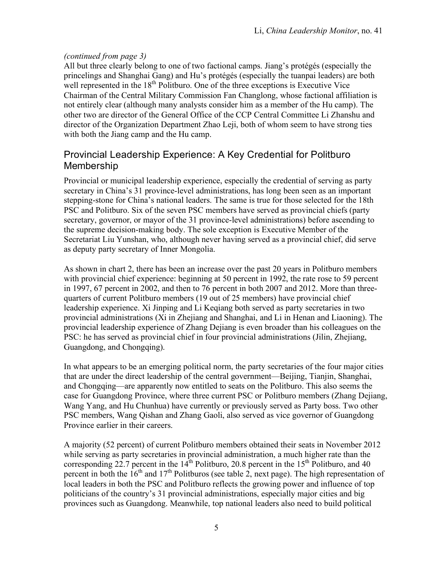### *(continued from page 3)*

All but three clearly belong to one of two factional camps. Jiang's protégés (especially the princelings and Shanghai Gang) and Hu's protégés (especially the tuanpai leaders) are both well represented in the  $18<sup>th</sup>$  Politburo. One of the three exceptions is Executive Vice Chairman of the Central Military Commission Fan Changlong, whose factional affiliation is not entirely clear (although many analysts consider him as a member of the Hu camp). The other two are director of the General Office of the CCP Central Committee Li Zhanshu and director of the Organization Department Zhao Leji, both of whom seem to have strong ties with both the Jiang camp and the Hu camp.

## Provincial Leadership Experience: A Key Credential for Politburo Membership

Provincial or municipal leadership experience, especially the credential of serving as party secretary in China's 31 province-level administrations, has long been seen as an important stepping-stone for China's national leaders. The same is true for those selected for the 18th PSC and Politburo. Six of the seven PSC members have served as provincial chiefs (party secretary, governor, or mayor of the 31 province-level administrations) before ascending to the supreme decision-making body. The sole exception is Executive Member of the Secretariat Liu Yunshan, who, although never having served as a provincial chief, did serve as deputy party secretary of Inner Mongolia.

As shown in chart 2, there has been an increase over the past 20 years in Politburo members with provincial chief experience: beginning at 50 percent in 1992, the rate rose to 59 percent in 1997, 67 percent in 2002, and then to 76 percent in both 2007 and 2012. More than threequarters of current Politburo members (19 out of 25 members) have provincial chief leadership experience. Xi Jinping and Li Keqiang both served as party secretaries in two provincial administrations (Xi in Zhejiang and Shanghai, and Li in Henan and Liaoning). The provincial leadership experience of Zhang Dejiang is even broader than his colleagues on the PSC: he has served as provincial chief in four provincial administrations (Jilin, Zhejiang, Guangdong, and Chongqing).

In what appears to be an emerging political norm, the party secretaries of the four major cities that are under the direct leadership of the central government—Beijing, Tianjin, Shanghai, and Chongqing—are apparently now entitled to seats on the Politburo. This also seems the case for Guangdong Province, where three current PSC or Politburo members (Zhang Dejiang, Wang Yang, and Hu Chunhua) have currently or previously served as Party boss. Two other PSC members, Wang Qishan and Zhang Gaoli, also served as vice governor of Guangdong Province earlier in their careers.

A majority (52 percent) of current Politburo members obtained their seats in November 2012 while serving as party secretaries in provincial administration, a much higher rate than the corresponding 22.7 percent in the  $14<sup>th</sup>$  Politburo, 20.8 percent in the  $15<sup>th</sup>$  Politburo, and 40 percent in both the  $16<sup>th</sup>$  and  $17<sup>th</sup>$  Politburos (see table 2, next page). The high representation of local leaders in both the PSC and Politburo reflects the growing power and influence of top politicians of the country's 31 provincial administrations, especially major cities and big provinces such as Guangdong. Meanwhile, top national leaders also need to build political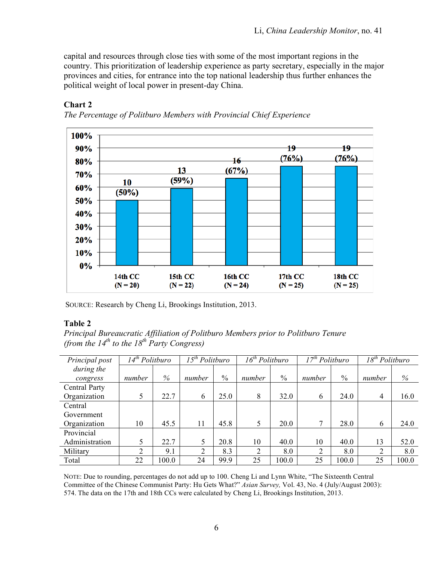capital and resources through close ties with some of the most important regions in the country. This prioritization of leadership experience as party secretary, especially in the major provinces and cities, for entrance into the top national leadership thus further enhances the political weight of local power in present-day China.



#### **Chart 2**

*The Percentage of Politburo Members with Provincial Chief Experience*

SOURCE: Research by Cheng Li, Brookings Institution, 2013.

### **Table 2**

*Principal Bureaucratic Affiliation of Politburo Members prior to Politburo Tenure (from the*  $14^{th}$  *to the*  $18^{th}$  *Party Congress)* 

| Principal post | 14 <sup>th</sup> Politburo |       | $\overline{15}^{th}$ Politburo |      | $\overline{16}$ <sup>th</sup> Politburo |               | $17th$ Politburo |       | $\overline{18}^{th}$ Politburo |       |
|----------------|----------------------------|-------|--------------------------------|------|-----------------------------------------|---------------|------------------|-------|--------------------------------|-------|
| during the     |                            |       |                                |      |                                         |               |                  |       |                                |       |
| congress       | number                     | $\%$  | number                         | $\%$ | number                                  | $\frac{0}{0}$ | number           | $\%$  | number                         | %     |
| Central Party  |                            |       |                                |      |                                         |               |                  |       |                                |       |
| Organization   |                            | 22.7  | 6                              | 25.0 | 8                                       | 32.0          | 6                | 24.0  | 4                              | 16.0  |
| Central        |                            |       |                                |      |                                         |               |                  |       |                                |       |
| Government     |                            |       |                                |      |                                         |               |                  |       |                                |       |
| Organization   | 10                         | 45.5  | 11                             | 45.8 | 5                                       | 20.0          | 7                | 28.0  | 6                              | 24.0  |
| Provincial     |                            |       |                                |      |                                         |               |                  |       |                                |       |
| Administration |                            | 22.7  | 5                              | 20.8 | 10                                      | 40.0          | 10               | 40.0  | 13                             | 52.0  |
| Military       | ↑                          | 9.1   | $\overline{2}$                 | 8.3  | 2                                       | 8.0           | $\overline{2}$   | 8.0   | $\overline{2}$                 | 8.0   |
| Total          | 22                         | 100.0 | 24                             | 99.9 | 25                                      | 100.0         | 25               | 100.0 | 25                             | 100.0 |

NOTE: Due to rounding, percentages do not add up to 100. Cheng Li and Lynn White, "The Sixteenth Central Committee of the Chinese Communist Party: Hu Gets What?" *Asian Survey,* Vol. 43, No. 4 (July/August 2003): 574. The data on the 17th and 18th CCs were calculated by Cheng Li, Brookings Institution, 2013.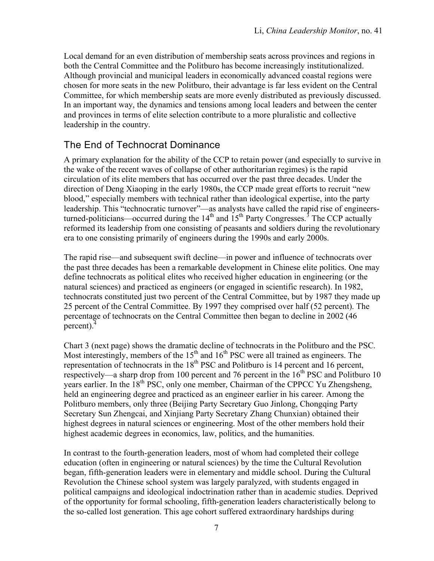Local demand for an even distribution of membership seats across provinces and regions in both the Central Committee and the Politburo has become increasingly institutionalized. Although provincial and municipal leaders in economically advanced coastal regions were chosen for more seats in the new Politburo, their advantage is far less evident on the Central Committee, for which membership seats are more evenly distributed as previously discussed. In an important way, the dynamics and tensions among local leaders and between the center and provinces in terms of elite selection contribute to a more pluralistic and collective leadership in the country.

# The End of Technocrat Dominance

A primary explanation for the ability of the CCP to retain power (and especially to survive in the wake of the recent waves of collapse of other authoritarian regimes) is the rapid circulation of its elite members that has occurred over the past three decades. Under the direction of Deng Xiaoping in the early 1980s, the CCP made great efforts to recruit "new blood," especially members with technical rather than ideological expertise, into the party leadership. This "technocratic turnover"—as analysts have called the rapid rise of engineersturned-politicians—occurred during the  $14<sup>th</sup>$  and  $15<sup>th</sup>$  Party Congresses.<sup>3</sup> The CCP actually reformed its leadership from one consisting of peasants and soldiers during the revolutionary era to one consisting primarily of engineers during the 1990s and early 2000s.

The rapid rise––and subsequent swift decline––in power and influence of technocrats over the past three decades has been a remarkable development in Chinese elite politics. One may define technocrats as political elites who received higher education in engineering (or the natural sciences) and practiced as engineers (or engaged in scientific research). In 1982, technocrats constituted just two percent of the Central Committee, but by 1987 they made up 25 percent of the Central Committee. By 1997 they comprised over half (52 percent). The percentage of technocrats on the Central Committee then began to decline in 2002 (46 percent).4

Chart 3 (next page) shows the dramatic decline of technocrats in the Politburo and the PSC. Most interestingly, members of the  $15<sup>th</sup>$  and  $16<sup>th</sup>$  PSC were all trained as engineers. The representation of technocrats in the  $18<sup>th</sup> PSC$  and Politburo is 14 percent and 16 percent, respectively—a sharp drop from 100 percent and 76 percent in the  $16<sup>th</sup> PSC$  and Politburo 10 years earlier. In the  $18<sup>th</sup> PSC$ , only one member, Chairman of the CPPCC Yu Zhengsheng, held an engineering degree and practiced as an engineer earlier in his career. Among the Politburo members, only three (Beijing Party Secretary Guo Jinlong, Chongqing Party Secretary Sun Zhengcai, and Xinjiang Party Secretary Zhang Chunxian) obtained their highest degrees in natural sciences or engineering. Most of the other members hold their highest academic degrees in economics, law, politics, and the humanities.

In contrast to the fourth-generation leaders, most of whom had completed their college education (often in engineering or natural sciences) by the time the Cultural Revolution began, fifth-generation leaders were in elementary and middle school. During the Cultural Revolution the Chinese school system was largely paralyzed, with students engaged in political campaigns and ideological indoctrination rather than in academic studies. Deprived of the opportunity for formal schooling, fifth-generation leaders characteristically belong to the so-called lost generation. This age cohort suffered extraordinary hardships during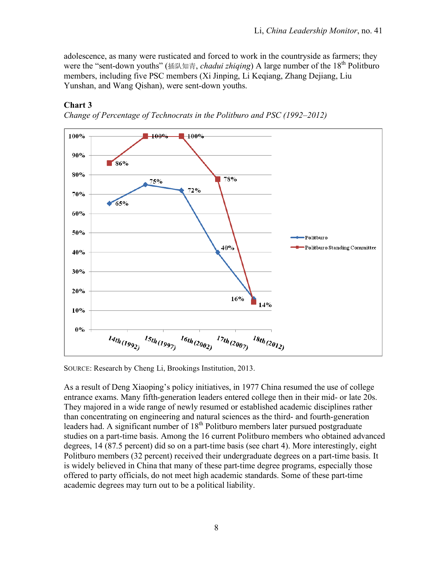adolescence, as many were rusticated and forced to work in the countryside as farmers; they were the "sent-down youths" (插队知青, *chadui zhiqing*) A large number of the 18<sup>th</sup> Politburo members, including five PSC members (Xi Jinping, Li Keqiang, Zhang Dejiang, Liu Yunshan, and Wang Qishan), were sent-down youths.

# **Chart 3**





SOURCE: Research by Cheng Li, Brookings Institution, 2013.

As a result of Deng Xiaoping's policy initiatives, in 1977 China resumed the use of college entrance exams. Many fifth-generation leaders entered college then in their mid- or late 20s. They majored in a wide range of newly resumed or established academic disciplines rather than concentrating on engineering and natural sciences as the third- and fourth-generation leaders had. A significant number of  $18<sup>th</sup>$  Politburo members later pursued postgraduate studies on a part-time basis. Among the 16 current Politburo members who obtained advanced degrees, 14 (87.5 percent) did so on a part-time basis (see chart 4). More interestingly, eight Politburo members (32 percent) received their undergraduate degrees on a part-time basis. It is widely believed in China that many of these part-time degree programs, especially those offered to party officials, do not meet high academic standards. Some of these part-time academic degrees may turn out to be a political liability.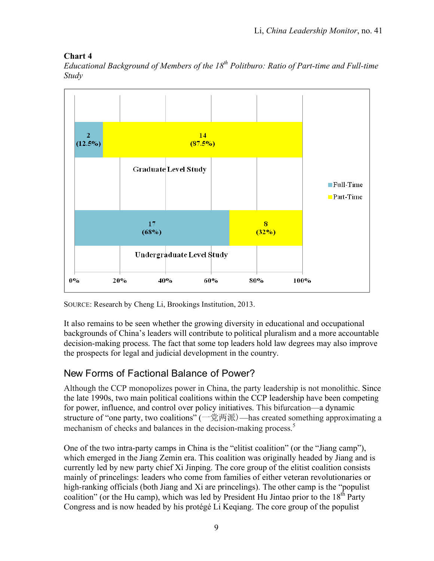## **Chart 4**

*Educational Background of Members of the 18<sup>th</sup> Politburo: Ratio of Part-time and Full-time Study*



SOURCE: Research by Cheng Li, Brookings Institution, 2013.

It also remains to be seen whether the growing diversity in educational and occupational backgrounds of China's leaders will contribute to political pluralism and a more accountable decision-making process. The fact that some top leaders hold law degrees may also improve the prospects for legal and judicial development in the country.

# New Forms of Factional Balance of Power?

Although the CCP monopolizes power in China, the party leadership is not monolithic. Since the late 1990s, two main political coalitions within the CCP leadership have been competing for power, influence, and control over policy initiatives. This bifurcation––a dynamic structure of "one party, two coalitions" (一党两派)—has created something approximating a mechanism of checks and balances in the decision-making process.<sup>5</sup>

One of the two intra-party camps in China is the "elitist coalition" (or the "Jiang camp"), which emerged in the Jiang Zemin era. This coalition was originally headed by Jiang and is currently led by new party chief Xi Jinping. The core group of the elitist coalition consists mainly of princelings: leaders who come from families of either veteran revolutionaries or high-ranking officials (both Jiang and Xi are princelings). The other camp is the "populist coalition" (or the Hu camp), which was led by President Hu Jintao prior to the  $18<sup>th</sup>$  Party Congress and is now headed by his protégé Li Keqiang. The core group of the populist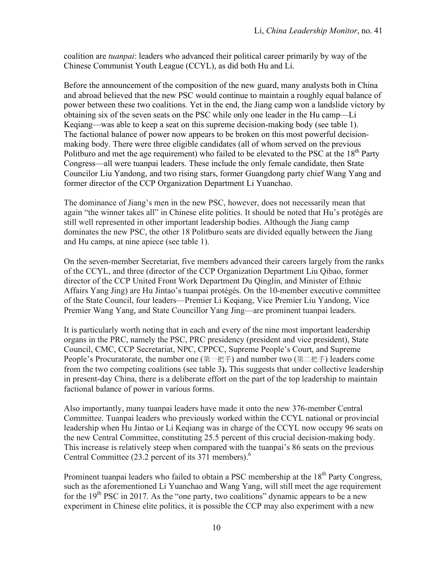coalition are *tuanpai*: leaders who advanced their political career primarily by way of the Chinese Communist Youth League (CCYL), as did both Hu and Li.

Before the announcement of the composition of the new guard, many analysts both in China and abroad believed that the new PSC would continue to maintain a roughly equal balance of power between these two coalitions. Yet in the end, the Jiang camp won a landslide victory by obtaining six of the seven seats on the PSC while only one leader in the Hu camp—Li Keqiang—was able to keep a seat on this supreme decision-making body (see table 1). The factional balance of power now appears to be broken on this most powerful decisionmaking body. There were three eligible candidates (all of whom served on the previous Politburo and met the age requirement) who failed to be elevated to the PSC at the  $18<sup>th</sup>$  Party Congress—all were tuanpai leaders. These include the only female candidate, then State Councilor Liu Yandong, and two rising stars, former Guangdong party chief Wang Yang and former director of the CCP Organization Department Li Yuanchao.

The dominance of Jiang's men in the new PSC, however, does not necessarily mean that again "the winner takes all" in Chinese elite politics. It should be noted that Hu's protégés are still well represented in other important leadership bodies. Although the Jiang camp dominates the new PSC, the other 18 Politburo seats are divided equally between the Jiang and Hu camps, at nine apiece (see table 1).

On the seven-member Secretariat, five members advanced their careers largely from the ranks of the CCYL, and three (director of the CCP Organization Department Liu Qibao, former director of the CCP United Front Work Department Du Qinglin, and Minister of Ethnic Affairs Yang Jing) are Hu Jintao's tuanpai protégés. On the 10-member executive committee of the State Council, four leaders—Premier Li Keqiang, Vice Premier Liu Yandong, Vice Premier Wang Yang, and State Councillor Yang Jing—are prominent tuanpai leaders.

It is particularly worth noting that in each and every of the nine most important leadership organs in the PRC, namely the PSC, PRC presidency (president and vice president), State Council, CMC, CCP Secretariat, NPC, CPPCC, Supreme People's Court, and Supreme People's Procuratorate, the number one (第一把手) and number two (第二把手) leaders come from the two competing coalitions (see table 3**).** This suggests that under collective leadership in present-day China, there is a deliberate effort on the part of the top leadership to maintain factional balance of power in various forms.

Also importantly, many tuanpai leaders have made it onto the new 376-member Central Committee. Tuanpai leaders who previously worked within the CCYL national or provincial leadership when Hu Jintao or Li Keqiang was in charge of the CCYL now occupy 96 seats on the new Central Committee, constituting 25.5 percent of this crucial decision-making body. This increase is relatively steep when compared with the tuanpai's 86 seats on the previous Central Committee (23.2 percent of its 371 members).<sup>6</sup>

Prominent tuanpai leaders who failed to obtain a PSC membership at the 18<sup>th</sup> Party Congress, such as the aforementioned Li Yuanchao and Wang Yang, will still meet the age requirement for the  $19<sup>th</sup> PSC$  in 2017. As the "one party, two coalitions" dynamic appears to be a new experiment in Chinese elite politics, it is possible the CCP may also experiment with a new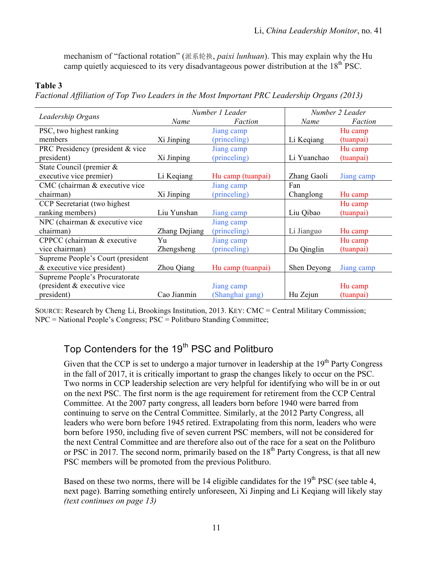mechanism of "factional rotation" (派系轮换, *paixi lunhuan*). This may explain why the Hu camp quietly acquiesced to its very disadvantageous power distribution at the  $18<sup>th</sup> PSC$ .

#### **Table 3**

*Factional Affiliation of Top Two Leaders in the Most Important PRC Leadership Organs (2013)*

|                                   |               | Number 1 Leader   | Number 2 Leader |            |  |
|-----------------------------------|---------------|-------------------|-----------------|------------|--|
| Leadership Organs                 | Name          | Faction           | Name            | Faction    |  |
| PSC, two highest ranking          |               | Jiang camp        |                 | Hu camp    |  |
| members                           | Xi Jinping    | (princeling)      | Li Keqiang      | (tuanpai)  |  |
| PRC Presidency (president & vice  |               | Jiang camp        |                 | Hu camp    |  |
| president)                        | Xi Jinping    | (princeling)      | Li Yuanchao     | (tuanpai)  |  |
| State Council (premier $\&$       |               |                   |                 |            |  |
| executive vice premier)           | Li Keqiang    | Hu camp (tuanpai) | Zhang Gaoli     | Jiang camp |  |
| CMC (chairman & executive vice    |               | Jiang camp        | Fan             |            |  |
| chairman)                         | Xi Jinping    | (princeling)      | Changlong       | Hu camp    |  |
| CCP Secretariat (two highest)     |               |                   |                 | Hu camp    |  |
| ranking members)                  | Liu Yunshan   | Jiang camp        | Liu Qibao       | (tuanpai)  |  |
| NPC (chairman & executive vice    |               | Jiang camp        |                 |            |  |
| chairman)                         | Zhang Dejiang | (princeling)      | Li Jianguo      | Hu camp    |  |
| CPPCC (chairman & executive       | Yu            | Jiang camp        |                 | Hu camp    |  |
| vice chairman)                    | Zhengsheng    | (princeling)      | Du Qinglin      | (tuanpai)  |  |
| Supreme People's Court (president |               |                   |                 |            |  |
| $&$ executive vice president)     | Zhou Qiang    | Hu camp (tuanpai) | Shen Deyong     | Jiang camp |  |
| Supreme People's Procuratorate    |               |                   |                 |            |  |
| (president & executive vice       |               | Jiang camp        |                 | Hu camp    |  |
| president)                        | Cao Jianmin   | (Shanghai gang)   | Hu Zejun        | (tuanpai)  |  |

SOURCE: Research by Cheng Li, Brookings Institution, 2013. KEY: CMC = Central Military Commission; NPC = National People's Congress; PSC = Politburo Standing Committee;

# Top Contenders for the 19<sup>th</sup> PSC and Politburo

Given that the CCP is set to undergo a major turnover in leadership at the  $19<sup>th</sup>$  Party Congress in the fall of 2017, it is critically important to grasp the changes likely to occur on the PSC. Two norms in CCP leadership selection are very helpful for identifying who will be in or out on the next PSC. The first norm is the age requirement for retirement from the CCP Central Committee. At the 2007 party congress, all leaders born before 1940 were barred from continuing to serve on the Central Committee. Similarly, at the 2012 Party Congress, all leaders who were born before 1945 retired. Extrapolating from this norm, leaders who were born before 1950, including five of seven current PSC members, will not be considered for the next Central Committee and are therefore also out of the race for a seat on the Politburo or PSC in 2017. The second norm, primarily based on the  $18<sup>th</sup>$  Party Congress, is that all new PSC members will be promoted from the previous Politburo.

Based on these two norms, there will be 14 eligible candidates for the  $19<sup>th</sup> PSC$  (see table 4, next page). Barring something entirely unforeseen, Xi Jinping and Li Keqiang will likely stay *(text continues on page 13)*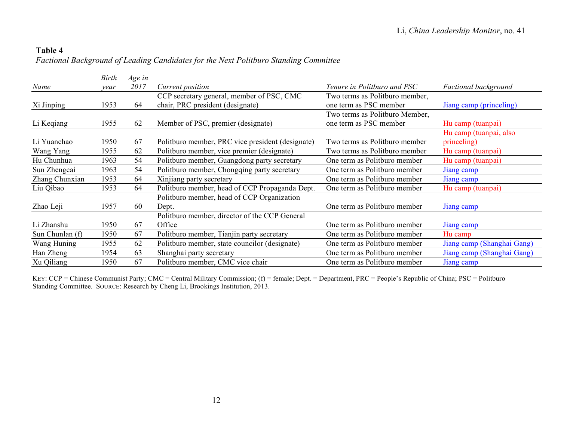## **Table 4** *Factional Background of Leading Candidates for the Next Politburo Standing Committee*

|                 | Birth | Age in |                                                  |                                |                             |
|-----------------|-------|--------|--------------------------------------------------|--------------------------------|-----------------------------|
| Name            | vear  | 2017   | Current position                                 | Tenure in Politburo and PSC    | <b>Factional background</b> |
|                 |       |        | CCP secretary general, member of PSC, CMC        | Two terms as Politburo member, |                             |
| Xi Jinping      | 1953  | 64     | chair, PRC president (designate)                 | one term as PSC member         | Jiang camp (princeling)     |
|                 |       |        |                                                  | Two terms as Politburo Member, |                             |
| Li Keqiang      | 1955  | 62     | Member of PSC, premier (designate)               | one term as PSC member         | Hu camp (tuanpai)           |
|                 |       |        |                                                  |                                | Hu camp (tuanpai, also      |
| Li Yuanchao     | 1950  | 67     | Politburo member, PRC vice president (designate) | Two terms as Politburo member  | princeling)                 |
| Wang Yang       | 1955  | 62     | Politburo member, vice premier (designate)       | Two terms as Politburo member  | Hu camp (tuanpai)           |
| Hu Chunhua      | 1963  | 54     | Politburo member, Guangdong party secretary      | One term as Politburo member   | Hu camp (tuanpai)           |
| Sun Zhengcai    | 1963  | 54     | Politburo member, Chongqing party secretary      | One term as Politburo member   | Jiang camp                  |
| Zhang Chunxian  | 1953  | 64     | Xinjiang party secretary                         | One term as Politburo member   | Jiang camp                  |
| Liu Qibao       | 1953  | 64     | Politburo member, head of CCP Propaganda Dept.   | One term as Politburo member   | Hu camp (tuanpai)           |
|                 |       |        | Politburo member, head of CCP Organization       |                                |                             |
| Zhao Leji       | 1957  | 60     | Dept.                                            | One term as Politburo member   | Jiang camp                  |
|                 |       |        | Politburo member, director of the CCP General    |                                |                             |
| Li Zhanshu      | 1950  | 67     | Office                                           | One term as Politburo member   | Jiang camp                  |
| Sun Chunlan (f) | 1950  | 67     | Politburo member, Tianjin party secretary        | One term as Politburo member   | Hu camp                     |
| Wang Huning     | 1955  | 62     | Politburo member, state councilor (designate)    | One term as Politburo member   | Jiang camp (Shanghai Gang)  |
| Han Zheng       | 1954  | 63     | Shanghai party secretary                         | One term as Politburo member   | Jiang camp (Shanghai Gang)  |
| Xu Qiliang      | 1950  | 67     | Politburo member, CMC vice chair                 | One term as Politburo member   | Jiang camp                  |

KEY: CCP = Chinese Communist Party; CMC = Central Military Commission; (f) = female; Dept. = Department, PRC = People's Republic of China; PSC = Politburo Standing Committee. SOURCE: Research by Cheng Li, Brookings Institution, 2013.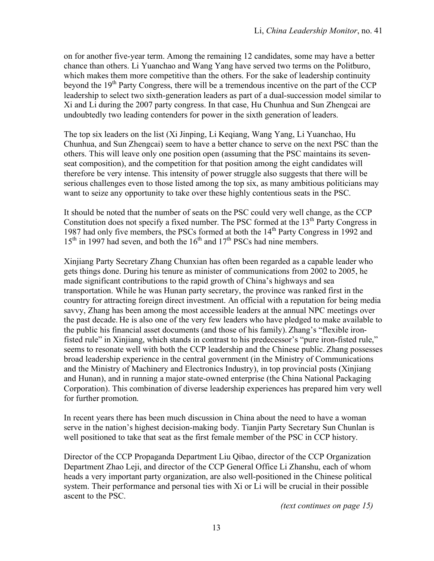on for another five-year term. Among the remaining 12 candidates, some may have a better chance than others. Li Yuanchao and Wang Yang have served two terms on the Politburo, which makes them more competitive than the others. For the sake of leadership continuity beyond the  $19<sup>th</sup>$  Party Congress, there will be a tremendous incentive on the part of the CCP leadership to select two sixth-generation leaders as part of a dual-succession model similar to Xi and Li during the 2007 party congress. In that case, Hu Chunhua and Sun Zhengcai are undoubtedly two leading contenders for power in the sixth generation of leaders.

The top six leaders on the list (Xi Jinping, Li Keqiang, Wang Yang, Li Yuanchao, Hu Chunhua, and Sun Zhengcai) seem to have a better chance to serve on the next PSC than the others. This will leave only one position open (assuming that the PSC maintains its sevenseat composition), and the competition for that position among the eight candidates will therefore be very intense. This intensity of power struggle also suggests that there will be serious challenges even to those listed among the top six, as many ambitious politicians may want to seize any opportunity to take over these highly contentious seats in the PSC.

It should be noted that the number of seats on the PSC could very well change, as the CCP Constitution does not specify a fixed number. The PSC formed at the  $13<sup>th</sup>$  Party Congress in 1987 had only five members, the PSCs formed at both the  $14<sup>th</sup>$  Party Congress in 1992 and  $15<sup>th</sup>$  in 1997 had seven, and both the  $16<sup>th</sup>$  and  $17<sup>th</sup>$  PSCs had nine members.

Xinjiang Party Secretary Zhang Chunxian has often been regarded as a capable leader who gets things done. During his tenure as minister of communications from 2002 to 2005, he made significant contributions to the rapid growth of China's highways and sea transportation. While he was Hunan party secretary, the province was ranked first in the country for attracting foreign direct investment. An official with a reputation for being media savvy, Zhang has been among the most accessible leaders at the annual NPC meetings over the past decade. He is also one of the very few leaders who have pledged to make available to the public his financial asset documents (and those of his family). Zhang's "flexible ironfisted rule" in Xinjiang, which stands in contrast to his predecessor's "pure iron-fisted rule," seems to resonate well with both the CCP leadership and the Chinese public. Zhang possesses broad leadership experience in the central government (in the Ministry of Communications and the Ministry of Machinery and Electronics Industry), in top provincial posts (Xinjiang and Hunan), and in running a major state-owned enterprise (the China National Packaging Corporation). This combination of diverse leadership experiences has prepared him very well for further promotion.

In recent years there has been much discussion in China about the need to have a woman serve in the nation's highest decision-making body. Tianjin Party Secretary Sun Chunlan is well positioned to take that seat as the first female member of the PSC in CCP history.

Director of the CCP Propaganda Department Liu Qibao, director of the CCP Organization Department Zhao Leji, and director of the CCP General Office Li Zhanshu, each of whom heads a very important party organization, are also well-positioned in the Chinese political system. Their performance and personal ties with Xi or Li will be crucial in their possible ascent to the PSC.

*(text continues on page 15)*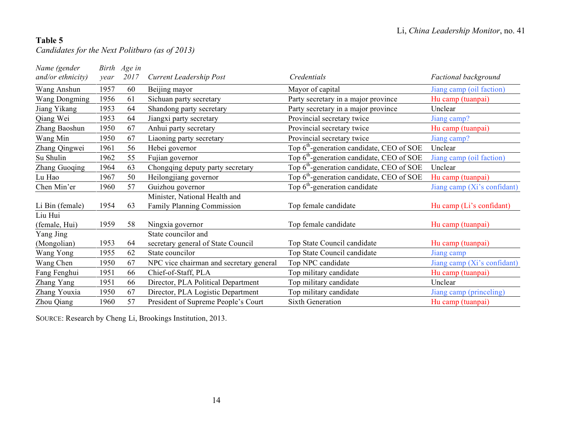## **Table 5**

*Candidates for the Next Politburo (as of 2013)*

| Name (gender         |      | Birth Age in |                                         |                                                       |                             |
|----------------------|------|--------------|-----------------------------------------|-------------------------------------------------------|-----------------------------|
| $and/or$ ethnicity)  | year | 2017         | <b>Current Leadership Post</b>          | Credentials                                           | <b>Factional background</b> |
| Wang Anshun          | 1957 | 60           | Beijing mayor                           | Mayor of capital                                      | Jiang camp (oil faction)    |
| <b>Wang Dongming</b> | 1956 | 61           | Sichuan party secretary                 | Party secretary in a major province                   | Hu camp (tuanpai)           |
| Jiang Yikang         | 1953 | 64           | Shandong party secretary                | Party secretary in a major province                   | Unclear                     |
| Qiang Wei            | 1953 | 64           | Jiangxi party secretary                 | Provincial secretary twice                            | Jiang camp?                 |
| Zhang Baoshun        | 1950 | 67           | Anhui party secretary                   | Provincial secretary twice                            | Hu camp (tuanpai)           |
| Wang Min             | 1950 | 67           | Liaoning party secretary                | Provincial secretary twice                            | Jiang camp?                 |
| Zhang Qingwei        | 1961 | 56           | Hebei governor                          | Top 6 <sup>th</sup> -generation candidate, CEO of SOE | Unclear                     |
| Su Shulin            | 1962 | 55           | Fujian governor                         | Top $6th$ -generation candidate, CEO of SOE           | Jiang camp (oil faction)    |
| Zhang Guoqing        | 1964 | 63           | Chongqing deputy party secretary        | Top 6 <sup>th</sup> -generation candidate, CEO of SOE | Unclear                     |
| Lu Hao               | 1967 | 50           | Heilongjiang governor                   | Top 6 <sup>th</sup> -generation candidate, CEO of SOE | Hu camp (tuanpai)           |
| Chen Min'er          | 1960 | 57           | Guizhou governor                        | Top 6 <sup>th</sup> -generation candidate             | Jiang camp (Xi's confidant) |
|                      |      |              | Minister, National Health and           |                                                       |                             |
| Li Bin (female)      | 1954 | 63           | Family Planning Commission              | Top female candidate                                  | Hu camp (Li's confidant)    |
| Liu Hui              |      |              |                                         |                                                       |                             |
| (female, Hui)        | 1959 | 58           | Ningxia governor                        | Top female candidate                                  | Hu camp (tuanpai)           |
| Yang Jing            |      |              | State councilor and                     |                                                       |                             |
| (Mongolian)          | 1953 | 64           | secretary general of State Council      | Top State Council candidate                           | Hu camp (tuanpai)           |
| Wang Yong            | 1955 | 62           | State councilor                         | Top State Council candidate                           | Jiang camp                  |
| Wang Chen            | 1950 | 67           | NPC vice chairman and secretary general | Top NPC candidate                                     | Jiang camp (Xi's confidant) |
| Fang Fenghui         | 1951 | 66           | Chief-of-Staff, PLA                     | Top military candidate                                | Hu camp (tuanpai)           |
| Zhang Yang           | 1951 | 66           | Director, PLA Political Department      | Top military candidate                                | Unclear                     |
| Zhang Youxia         | 1950 | 67           | Director, PLA Logistic Department       | Top military candidate                                | Jiang camp (princeling)     |
| Zhou Qiang           | 1960 | 57           | President of Supreme People's Court     | <b>Sixth Generation</b>                               | Hu camp (tuanpai)           |

SOURCE: Research by Cheng Li, Brookings Institution, 2013.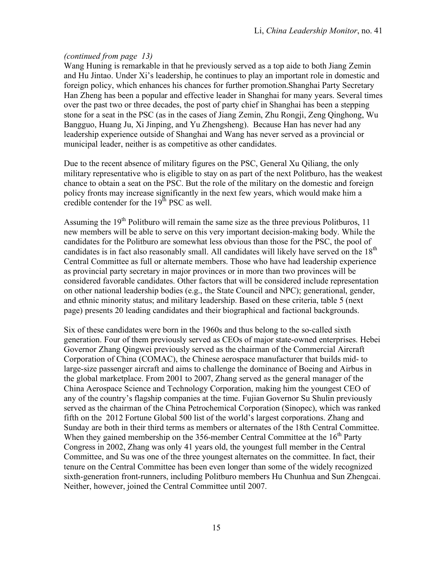#### *(continued from page 13)*

Wang Huning is remarkable in that he previously served as a top aide to both Jiang Zemin and Hu Jintao. Under Xi's leadership, he continues to play an important role in domestic and foreign policy, which enhances his chances for further promotion.Shanghai Party Secretary Han Zheng has been a popular and effective leader in Shanghai for many years. Several times over the past two or three decades, the post of party chief in Shanghai has been a stepping stone for a seat in the PSC (as in the cases of Jiang Zemin, Zhu Rongji, Zeng Qinghong, Wu Bangguo, Huang Ju, Xi Jinping, and Yu Zhengsheng). Because Han has never had any leadership experience outside of Shanghai and Wang has never served as a provincial or municipal leader, neither is as competitive as other candidates.

Due to the recent absence of military figures on the PSC, General Xu Qiliang, the only military representative who is eligible to stay on as part of the next Politburo, has the weakest chance to obtain a seat on the PSC. But the role of the military on the domestic and foreign policy fronts may increase significantly in the next few years, which would make him a credible contender for the  $19<sup>th</sup> PSC$  as well.

Assuming the  $19<sup>th</sup>$  Politburo will remain the same size as the three previous Politburos, 11 new members will be able to serve on this very important decision-making body. While the candidates for the Politburo are somewhat less obvious than those for the PSC, the pool of candidates is in fact also reasonably small. All candidates will likely have served on the 18<sup>th</sup> Central Committee as full or alternate members. Those who have had leadership experience as provincial party secretary in major provinces or in more than two provinces will be considered favorable candidates. Other factors that will be considered include representation on other national leadership bodies (e.g., the State Council and NPC); generational, gender, and ethnic minority status; and military leadership. Based on these criteria, table 5 (next page) presents 20 leading candidates and their biographical and factional backgrounds.

Six of these candidates were born in the 1960s and thus belong to the so-called sixth generation. Four of them previously served as CEOs of major state-owned enterprises. Hebei Governor Zhang Qingwei previously served as the chairman of the Commercial Aircraft Corporation of China (COMAC), the Chinese aerospace manufacturer that builds mid- to large-size passenger aircraft and aims to challenge the dominance of Boeing and Airbus in the global marketplace. From 2001 to 2007, Zhang served as the general manager of the China Aerospace Science and Technology Corporation, making him the youngest CEO of any of the country's flagship companies at the time. Fujian Governor Su Shulin previously served as the chairman of the China Petrochemical Corporation (Sinopec), which was ranked fifth on the 2012 Fortune Global 500 list of the world's largest corporations. Zhang and Sunday are both in their third terms as members or alternates of the 18th Central Committee. When they gained membership on the 356-member Central Committee at the  $16<sup>th</sup>$  Party Congress in 2002, Zhang was only 41 years old, the youngest full member in the Central Committee, and Su was one of the three youngest alternates on the committee. In fact, their tenure on the Central Committee has been even longer than some of the widely recognized sixth-generation front-runners, including Politburo members Hu Chunhua and Sun Zhengcai. Neither, however, joined the Central Committee until 2007.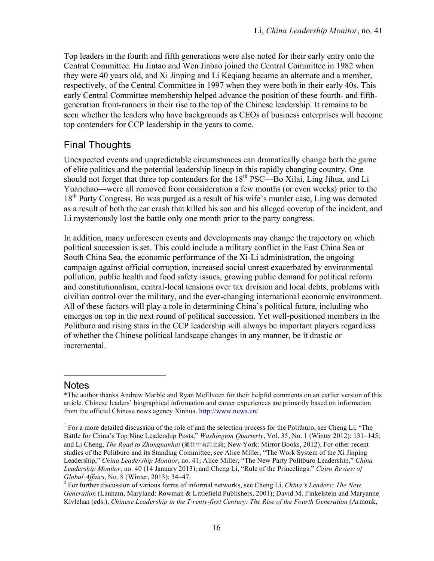Top leaders in the fourth and fifth generations were also noted for their early entry onto the Central Committee. Hu Jintao and Wen Jiabao joined the Central Committee in 1982 when they were 40 years old, and Xi Jinping and Li Keqiang became an alternate and a member, respectively, of the Central Committee in 1997 when they were both in their early 40s. This early Central Committee membership helped advance the position of these fourth- and fifthgeneration front-runners in their rise to the top of the Chinese leadership. It remains to be seen whether the leaders who have backgrounds as CEOs of business enterprises will become top contenders for CCP leadership in the years to come.

# Final Thoughts

Unexpected events and unpredictable circumstances can dramatically change both the game of elite politics and the potential leadership lineup in this rapidly changing country. One should not forget that three top contenders for the 18<sup>th</sup> PSC—Bo Xilai, Ling Jihua, and Li Yuanchao—were all removed from consideration a few months (or even weeks) prior to the 18<sup>th</sup> Party Congress. Bo was purged as a result of his wife's murder case, Ling was demoted as a result of both the car crash that killed his son and his alleged coverup of the incident, and Li mysteriously lost the battle only one month prior to the party congress.

In addition, many unforeseen events and developments may change the trajectory on which political succession is set. This could include a military conflict in the East China Sea or South China Sea, the economic performance of the Xi-Li administration, the ongoing campaign against official corruption, increased social unrest exacerbated by environmental pollution, public health and food safety issues, growing public demand for political reform and constitutionalism, central-local tensions over tax division and local debts, problems with civilian control over the military, and the ever-changing international economic environment. All of these factors will play a role in determining China's political future, including who emerges on top in the next round of political succession. Yet well-positioned members in the Politburo and rising stars in the CCP leadership will always be important players regardless of whether the Chinese political landscape changes in any manner, be it drastic or incremental.

### **Notes**

 $\overline{a}$ 

<sup>\*</sup>The author thanks Andrew Marble and Ryan McElveen for their helpful comments on an earlier version of this article. Chinese leaders' biographical information and career experiences are primarily based on information from the official Chinese news agency Xinhua. http://www.news.cn/

<sup>&</sup>lt;sup>1</sup> For a more detailed discussion of the role of and the selection process for the Politburo, see Cheng Li, "The Battle for China's Top Nine Leadership Posts," *Washington Quarterly*, Vol. 35, No. 1 (Winter 2012): 131–145; and Li Cheng, *The Road to Zhongnanhai* (通往中南海之路; New York: Mirror Books, 2012). For other recent studies of the Politburo and its Standing Committee, see Alice Miller, "The Work System of the Xi Jinping Leadership," *China Leadership Monitor*, no. 41; Alice Miller, "The New Party Politburo Leadership," *China Leadership Monitor*, no. 40 (14 January 2013); and Cheng Li, "Rule of the Princelings." *Cairo Review of Global Affairs*, No. 8 (Winter, 2013): 34–47.<br><sup>2</sup> For further discussion of various forms of informal networks, see Cheng Li, *China's Leaders: The New* 

*Generation* (Lanham, Maryland: Rowman & Littlefield Publishers, 2001); David M. Finkelstein and Maryanne Kivlehan (eds.), *Chinese Leadership in the Twenty-first Century: The Rise of the Fourth Generation* (Armonk,